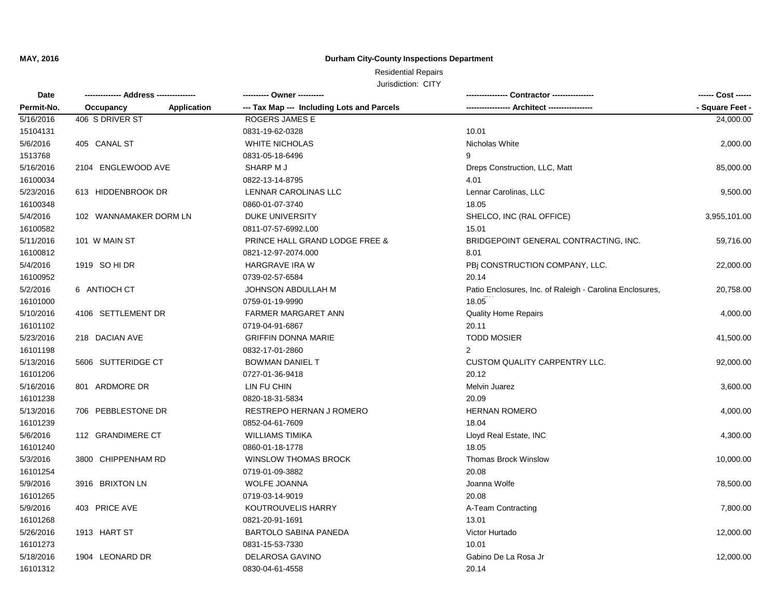### **Durham City-County Inspections Department**

| Date       |                                 | ---------- Owner ----------                |                                                          | ------ Cost ------ |
|------------|---------------------------------|--------------------------------------------|----------------------------------------------------------|--------------------|
| Permit-No. | <b>Application</b><br>Occupancy | --- Tax Map --- Including Lots and Parcels |                                                          | - Square Feet -    |
| 5/16/2016  | 406 S DRIVER ST                 | ROGERS JAMES E                             |                                                          | 24,000.00          |
| 15104131   |                                 | 0831-19-62-0328                            | 10.01                                                    |                    |
| 5/6/2016   | 405 CANAL ST                    | <b>WHITE NICHOLAS</b>                      | Nicholas White                                           | 2,000.00           |
| 1513768    |                                 | 0831-05-18-6496                            | 9                                                        |                    |
| 5/16/2016  | 2104 ENGLEWOOD AVE              | SHARP M J                                  | Dreps Construction, LLC, Matt                            | 85,000.00          |
| 16100034   |                                 | 0822-13-14-8795                            | 4.01                                                     |                    |
| 5/23/2016  | 613 HIDDENBROOK DR              | LENNAR CAROLINAS LLC                       | Lennar Carolinas, LLC                                    | 9,500.00           |
| 16100348   |                                 | 0860-01-07-3740                            | 18.05                                                    |                    |
| 5/4/2016   | 102 WANNAMAKER DORM LN          | <b>DUKE UNIVERSITY</b>                     | SHELCO, INC (RAL OFFICE)                                 | 3,955,101.00       |
| 16100582   |                                 | 0811-07-57-6992.L00                        | 15.01                                                    |                    |
| 5/11/2016  | 101 W MAIN ST                   | PRINCE HALL GRAND LODGE FREE &             | BRIDGEPOINT GENERAL CONTRACTING, INC.                    | 59,716.00          |
| 16100812   |                                 | 0821-12-97-2074.000                        | 8.01                                                     |                    |
| 5/4/2016   | 1919 SO HI DR                   | <b>HARGRAVE IRA W</b>                      | PBI CONSTRUCTION COMPANY, LLC.                           | 22,000.00          |
| 16100952   |                                 | 0739-02-57-6584                            | 20.14                                                    |                    |
| 5/2/2016   | 6 ANTIOCH CT                    | JOHNSON ABDULLAH M                         | Patio Enclosures, Inc. of Raleigh - Carolina Enclosures, | 20,758.00          |
| 16101000   |                                 | 0759-01-19-9990                            | 18.05                                                    |                    |
| 5/10/2016  | 4106 SETTLEMENT DR              | FARMER MARGARET ANN                        | <b>Quality Home Repairs</b>                              | 4,000.00           |
| 16101102   |                                 | 0719-04-91-6867                            | 20.11                                                    |                    |
| 5/23/2016  | 218 DACIAN AVE                  | <b>GRIFFIN DONNA MARIE</b>                 | <b>TODD MOSIER</b>                                       | 41,500.00          |
| 16101198   |                                 | 0832-17-01-2860                            | 2                                                        |                    |
| 5/13/2016  | 5606 SUTTERIDGE CT              | <b>BOWMAN DANIEL T</b>                     | CUSTOM QUALITY CARPENTRY LLC.                            | 92,000.00          |
| 16101206   |                                 | 0727-01-36-9418                            | 20.12                                                    |                    |
| 5/16/2016  | 801 ARDMORE DR                  | LIN FU CHIN                                | <b>Melvin Juarez</b>                                     | 3,600.00           |
| 16101238   |                                 | 0820-18-31-5834                            | 20.09                                                    |                    |
| 5/13/2016  | 706 PEBBLESTONE DR              | RESTREPO HERNAN J ROMERO                   | <b>HERNAN ROMERO</b>                                     | 4,000.00           |
| 16101239   |                                 | 0852-04-61-7609                            | 18.04                                                    |                    |
| 5/6/2016   | 112 GRANDIMERE CT               | <b>WILLIAMS TIMIKA</b>                     | Lloyd Real Estate, INC                                   | 4,300.00           |
| 16101240   |                                 | 0860-01-18-1778                            | 18.05                                                    |                    |
| 5/3/2016   | 3800 CHIPPENHAM RD              | <b>WINSLOW THOMAS BROCK</b>                | <b>Thomas Brock Winslow</b>                              | 10,000.00          |
| 16101254   |                                 | 0719-01-09-3882                            | 20.08                                                    |                    |
| 5/9/2016   | 3916 BRIXTON LN                 | <b>WOLFE JOANNA</b>                        | Joanna Wolfe                                             | 78,500.00          |
| 16101265   |                                 | 0719-03-14-9019                            | 20.08                                                    |                    |
| 5/9/2016   | 403 PRICE AVE                   | KOUTROUVELIS HARRY                         | A-Team Contracting                                       | 7,800.00           |
| 16101268   |                                 | 0821-20-91-1691                            | 13.01                                                    |                    |
| 5/26/2016  | 1913 HART ST                    | <b>BARTOLO SABINA PANEDA</b>               | Victor Hurtado                                           | 12,000.00          |
| 16101273   |                                 | 0831-15-53-7330                            | 10.01                                                    |                    |
| 5/18/2016  | 1904 LEONARD DR                 | <b>DELAROSA GAVINO</b>                     | Gabino De La Rosa Jr                                     | 12,000.00          |
| 16101312   |                                 | 0830-04-61-4558                            | 20.14                                                    |                    |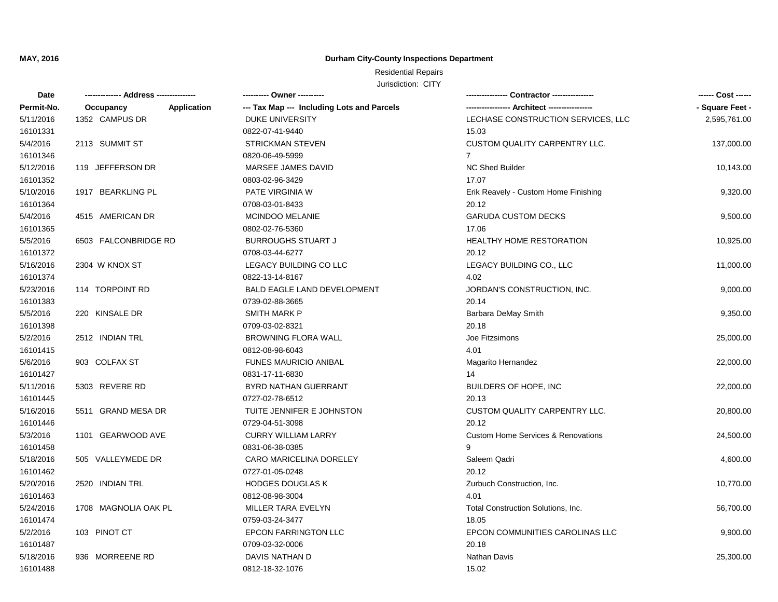### **Durham City-County Inspections Department**

| Date       |                          | ---------- Owner ----------                |                                               | ------ Cost ------ |
|------------|--------------------------|--------------------------------------------|-----------------------------------------------|--------------------|
| Permit-No. | Occupancy<br>Application | --- Tax Map --- Including Lots and Parcels |                                               | - Square Feet -    |
| 5/11/2016  | 1352 CAMPUS DR           | <b>DUKE UNIVERSITY</b>                     | LECHASE CONSTRUCTION SERVICES, LLC            | 2,595,761.00       |
| 16101331   |                          | 0822-07-41-9440                            | 15.03                                         |                    |
| 5/4/2016   | 2113 SUMMIT ST           | <b>STRICKMAN STEVEN</b>                    | <b>CUSTOM QUALITY CARPENTRY LLC.</b>          | 137,000.00         |
| 16101346   |                          | 0820-06-49-5999                            | $7^{\circ}$                                   |                    |
| 5/12/2016  | 119 JEFFERSON DR         | MARSEE JAMES DAVID                         | <b>NC Shed Builder</b>                        | 10,143.00          |
| 16101352   |                          | 0803-02-96-3429                            | 17.07                                         |                    |
| 5/10/2016  | 1917 BEARKLING PL        | PATE VIRGINIA W                            | Erik Reavely - Custom Home Finishing          | 9,320.00           |
| 16101364   |                          | 0708-03-01-8433                            | 20.12                                         |                    |
| 5/4/2016   | 4515 AMERICAN DR         | <b>MCINDOO MELANIE</b>                     | <b>GARUDA CUSTOM DECKS</b>                    | 9,500.00           |
| 16101365   |                          | 0802-02-76-5360                            | 17.06                                         |                    |
| 5/5/2016   | 6503 FALCONBRIDGE RD     | <b>BURROUGHS STUART J</b>                  | <b>HEALTHY HOME RESTORATION</b>               | 10,925.00          |
| 16101372   |                          | 0708-03-44-6277                            | 20.12                                         |                    |
| 5/16/2016  | 2304 W KNOX ST           | LEGACY BUILDING CO LLC                     | LEGACY BUILDING CO., LLC                      | 11,000.00          |
| 16101374   |                          | 0822-13-14-8167                            | 4.02                                          |                    |
| 5/23/2016  | 114 TORPOINT RD          | <b>BALD EAGLE LAND DEVELOPMENT</b>         | JORDAN'S CONSTRUCTION, INC.                   | 9,000.00           |
| 16101383   |                          | 0739-02-88-3665                            | 20.14                                         |                    |
| 5/5/2016   | 220 KINSALE DR           | <b>SMITH MARK P</b>                        | Barbara DeMay Smith                           | 9,350.00           |
| 16101398   |                          | 0709-03-02-8321                            | 20.18                                         |                    |
| 5/2/2016   | 2512 INDIAN TRL          | <b>BROWNING FLORA WALL</b>                 | Joe Fitzsimons                                | 25,000.00          |
| 16101415   |                          | 0812-08-98-6043                            | 4.01                                          |                    |
| 5/6/2016   | 903 COLFAX ST            | FUNES MAURICIO ANIBAL                      | Magarito Hernandez                            | 22,000.00          |
| 16101427   |                          | 0831-17-11-6830                            | 14                                            |                    |
| 5/11/2016  | 5303 REVERE RD           | BYRD NATHAN GUERRANT                       | <b>BUILDERS OF HOPE, INC</b>                  | 22,000.00          |
| 16101445   |                          | 0727-02-78-6512                            | 20.13                                         |                    |
| 5/16/2016  | 5511 GRAND MESA DR       | TUITE JENNIFER E JOHNSTON                  | <b>CUSTOM QUALITY CARPENTRY LLC.</b>          | 20,800.00          |
| 16101446   |                          | 0729-04-51-3098                            | 20.12                                         |                    |
| 5/3/2016   | 1101 GEARWOOD AVE        | <b>CURRY WILLIAM LARRY</b>                 | <b>Custom Home Services &amp; Renovations</b> | 24,500.00          |
| 16101458   |                          | 0831-06-38-0385                            |                                               |                    |
| 5/18/2016  | 505 VALLEYMEDE DR        | CARO MARICELINA DORELEY                    | Saleem Qadri                                  | 4,600.00           |
| 16101462   |                          | 0727-01-05-0248                            | 20.12                                         |                    |
| 5/20/2016  | 2520 INDIAN TRL          | <b>HODGES DOUGLAS K</b>                    | Zurbuch Construction, Inc.                    | 10,770.00          |
| 16101463   |                          | 0812-08-98-3004                            | 4.01                                          |                    |
| 5/24/2016  | 1708 MAGNOLIA OAK PL     | MILLER TARA EVELYN                         | Total Construction Solutions, Inc.            | 56,700.00          |
| 16101474   |                          | 0759-03-24-3477                            | 18.05                                         |                    |
| 5/2/2016   | 103 PINOT CT             | EPCON FARRINGTON LLC                       | EPCON COMMUNITIES CAROLINAS LLC               | 9,900.00           |
| 16101487   |                          | 0709-03-32-0006                            | 20.18                                         |                    |
| 5/18/2016  | 936 MORREENE RD          | <b>DAVIS NATHAN D</b>                      | <b>Nathan Davis</b>                           | 25,300.00          |
| 16101488   |                          | 0812-18-32-1076                            | 15.02                                         |                    |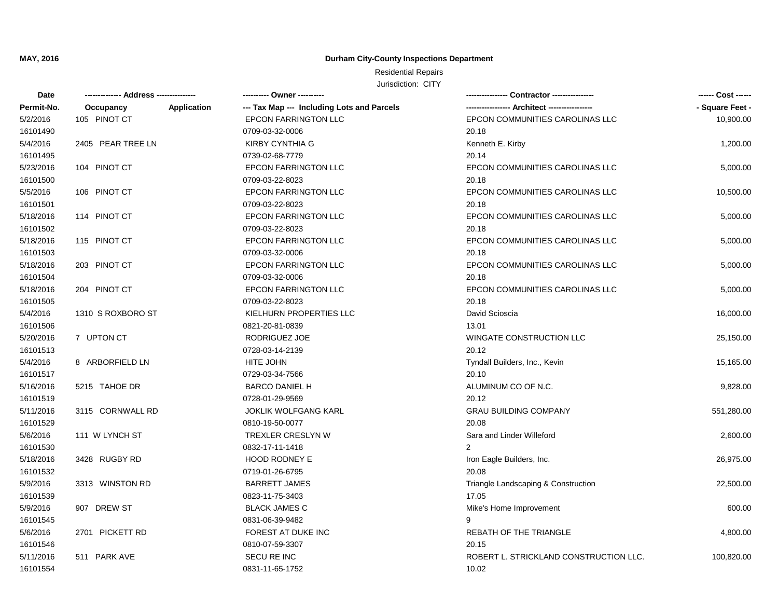# **Durham City-County Inspections Department**

| Date       |                   |             | ---------- Owner ----------                |                                        | ------ Cost ------ |
|------------|-------------------|-------------|--------------------------------------------|----------------------------------------|--------------------|
| Permit-No. | Occupancy         | Application | --- Tax Map --- Including Lots and Parcels |                                        | - Square Feet -    |
| 5/2/2016   | 105 PINOT CT      |             | <b>EPCON FARRINGTON LLC</b>                | EPCON COMMUNITIES CAROLINAS LLC        | 10,900.00          |
| 16101490   |                   |             | 0709-03-32-0006                            | 20.18                                  |                    |
| 5/4/2016   | 2405 PEAR TREE LN |             | <b>KIRBY CYNTHIA G</b>                     | Kenneth E. Kirby                       | 1,200.00           |
| 16101495   |                   |             | 0739-02-68-7779                            | 20.14                                  |                    |
| 5/23/2016  | 104 PINOT CT      |             | <b>EPCON FARRINGTON LLC</b>                | EPCON COMMUNITIES CAROLINAS LLC        | 5,000.00           |
| 16101500   |                   |             | 0709-03-22-8023                            | 20.18                                  |                    |
| 5/5/2016   | 106 PINOT CT      |             | EPCON FARRINGTON LLC                       | EPCON COMMUNITIES CAROLINAS LLC        | 10,500.00          |
| 16101501   |                   |             | 0709-03-22-8023                            | 20.18                                  |                    |
| 5/18/2016  | 114 PINOT CT      |             | EPCON FARRINGTON LLC                       | EPCON COMMUNITIES CAROLINAS LLC        | 5,000.00           |
| 16101502   |                   |             | 0709-03-22-8023                            | 20.18                                  |                    |
| 5/18/2016  | 115 PINOT CT      |             | <b>EPCON FARRINGTON LLC</b>                | EPCON COMMUNITIES CAROLINAS LLC        | 5,000.00           |
| 16101503   |                   |             | 0709-03-32-0006                            | 20.18                                  |                    |
| 5/18/2016  | 203 PINOT CT      |             | <b>EPCON FARRINGTON LLC</b>                | EPCON COMMUNITIES CAROLINAS LLC        | 5,000.00           |
| 16101504   |                   |             | 0709-03-32-0006                            | 20.18                                  |                    |
| 5/18/2016  | 204 PINOT CT      |             | <b>EPCON FARRINGTON LLC</b>                | EPCON COMMUNITIES CAROLINAS LLC        | 5,000.00           |
| 16101505   |                   |             | 0709-03-22-8023                            | 20.18                                  |                    |
| 5/4/2016   | 1310 S ROXBORO ST |             | KIELHURN PROPERTIES LLC                    | David Scioscia                         | 16,000.00          |
| 16101506   |                   |             | 0821-20-81-0839                            | 13.01                                  |                    |
| 5/20/2016  | 7 UPTON CT        |             | RODRIGUEZ JOE                              | WINGATE CONSTRUCTION LLC               | 25,150.00          |
| 16101513   |                   |             | 0728-03-14-2139                            | 20.12                                  |                    |
| 5/4/2016   | 8 ARBORFIELD LN   |             | <b>HITE JOHN</b>                           | Tyndall Builders, Inc., Kevin          | 15,165.00          |
| 16101517   |                   |             | 0729-03-34-7566                            | 20.10                                  |                    |
| 5/16/2016  | 5215 TAHOE DR     |             | <b>BARCO DANIEL H</b>                      | ALUMINUM CO OF N.C.                    | 9,828.00           |
| 16101519   |                   |             | 0728-01-29-9569                            | 20.12                                  |                    |
| 5/11/2016  | 3115 CORNWALL RD  |             | <b>JOKLIK WOLFGANG KARL</b>                | <b>GRAU BUILDING COMPANY</b>           | 551,280.00         |
| 16101529   |                   |             | 0810-19-50-0077                            | 20.08                                  |                    |
| 5/6/2016   | 111 W LYNCH ST    |             | TREXLER CRESLYN W                          | Sara and Linder Willeford              | 2,600.00           |
| 16101530   |                   |             | 0832-17-11-1418                            | 2                                      |                    |
| 5/18/2016  | 3428 RUGBY RD     |             | HOOD RODNEY E                              | Iron Eagle Builders, Inc.              | 26,975.00          |
| 16101532   |                   |             | 0719-01-26-6795                            | 20.08                                  |                    |
| 5/9/2016   | 3313 WINSTON RD   |             | <b>BARRETT JAMES</b>                       | Triangle Landscaping & Construction    | 22,500.00          |
| 16101539   |                   |             | 0823-11-75-3403                            | 17.05                                  |                    |
| 5/9/2016   | 907 DREW ST       |             | <b>BLACK JAMES C</b>                       | Mike's Home Improvement                | 600.00             |
| 16101545   |                   |             | 0831-06-39-9482                            | 9                                      |                    |
| 5/6/2016   | 2701 PICKETT RD   |             | FOREST AT DUKE INC                         | REBATH OF THE TRIANGLE                 | 4,800.00           |
| 16101546   |                   |             | 0810-07-59-3307                            | 20.15                                  |                    |
| 5/11/2016  | 511 PARK AVE      |             | <b>SECU RE INC</b>                         | ROBERT L. STRICKLAND CONSTRUCTION LLC. | 100,820.00         |
| 16101554   |                   |             | 0831-11-65-1752                            | 10.02                                  |                    |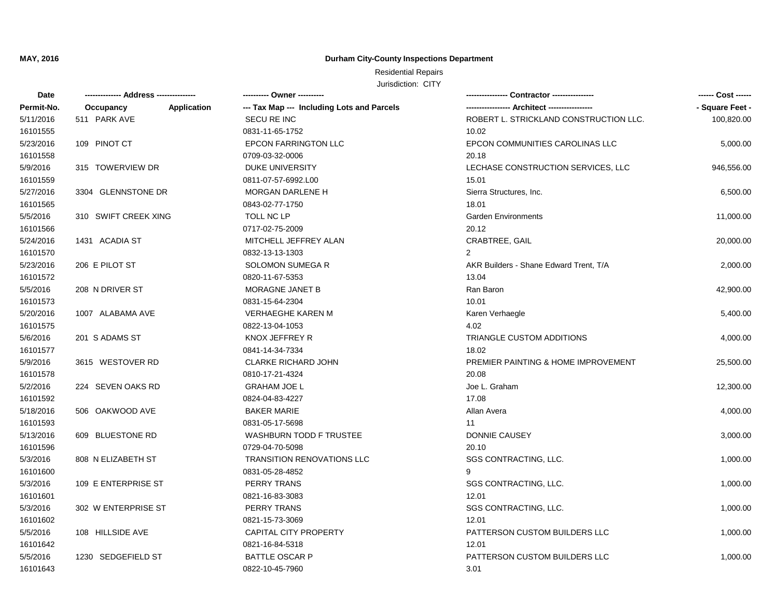# **Durham City-County Inspections Department**

| Date       |                          | ---------- Owner ----------                |                                               | ------ Cost ------ |
|------------|--------------------------|--------------------------------------------|-----------------------------------------------|--------------------|
| Permit-No. | Application<br>Occupancy | --- Tax Map --- Including Lots and Parcels | ----------------- Architect ----------------- | - Square Feet -    |
| 5/11/2016  | 511 PARK AVE             | <b>SECU RE INC</b>                         | ROBERT L. STRICKLAND CONSTRUCTION LLC.        | 100,820.00         |
| 16101555   |                          | 0831-11-65-1752                            | 10.02                                         |                    |
| 5/23/2016  | 109 PINOT CT             | <b>EPCON FARRINGTON LLC</b>                | EPCON COMMUNITIES CAROLINAS LLC               | 5,000.00           |
| 16101558   |                          | 0709-03-32-0006                            | 20.18                                         |                    |
| 5/9/2016   | 315 TOWERVIEW DR         | DUKE UNIVERSITY                            | LECHASE CONSTRUCTION SERVICES, LLC            | 946,556.00         |
| 16101559   |                          | 0811-07-57-6992.L00                        | 15.01                                         |                    |
| 5/27/2016  | 3304 GLENNSTONE DR       | MORGAN DARLENE H                           | Sierra Structures, Inc.                       | 6,500.00           |
| 16101565   |                          | 0843-02-77-1750                            | 18.01                                         |                    |
| 5/5/2016   | 310 SWIFT CREEK XING     | TOLL NC LP                                 | <b>Garden Environments</b>                    | 11,000.00          |
| 16101566   |                          | 0717-02-75-2009                            | 20.12                                         |                    |
| 5/24/2016  | 1431 ACADIA ST           | MITCHELL JEFFREY ALAN                      | CRABTREE, GAIL                                | 20,000.00          |
| 16101570   |                          | 0832-13-13-1303                            | $\overline{2}$                                |                    |
| 5/23/2016  | 206 E PILOT ST           | <b>SOLOMON SUMEGAR</b>                     | AKR Builders - Shane Edward Trent, T/A        | 2,000.00           |
| 16101572   |                          | 0820-11-67-5353                            | 13.04                                         |                    |
| 5/5/2016   | 208 N DRIVER ST          | MORAGNE JANET B                            | Ran Baron                                     | 42,900.00          |
| 16101573   |                          | 0831-15-64-2304                            | 10.01                                         |                    |
| 5/20/2016  | 1007 ALABAMA AVE         | <b>VERHAEGHE KAREN M</b>                   | Karen Verhaegle                               | 5,400.00           |
| 16101575   |                          | 0822-13-04-1053                            | 4.02                                          |                    |
| 5/6/2016   | 201 S ADAMS ST           | KNOX JEFFREY R                             | TRIANGLE CUSTOM ADDITIONS                     | 4,000.00           |
| 16101577   |                          | 0841-14-34-7334                            | 18.02                                         |                    |
| 5/9/2016   | 3615 WESTOVER RD         | <b>CLARKE RICHARD JOHN</b>                 | PREMIER PAINTING & HOME IMPROVEMENT           | 25,500.00          |
| 16101578   |                          | 0810-17-21-4324                            | 20.08                                         |                    |
| 5/2/2016   | 224 SEVEN OAKS RD        | <b>GRAHAM JOE L</b>                        | Joe L. Graham                                 | 12,300.00          |
| 16101592   |                          | 0824-04-83-4227                            | 17.08                                         |                    |
| 5/18/2016  | 506 OAKWOOD AVE          | <b>BAKER MARIE</b>                         | Allan Avera                                   | 4,000.00           |
| 16101593   |                          | 0831-05-17-5698                            | 11                                            |                    |
| 5/13/2016  | 609 BLUESTONE RD         | <b>WASHBURN TODD F TRUSTEE</b>             | DONNIE CAUSEY                                 | 3,000.00           |
| 16101596   |                          | 0729-04-70-5098                            | 20.10                                         |                    |
| 5/3/2016   | 808 N ELIZABETH ST       | <b>TRANSITION RENOVATIONS LLC</b>          | SGS CONTRACTING, LLC.                         | 1,000.00           |
| 16101600   |                          | 0831-05-28-4852                            | 9                                             |                    |
| 5/3/2016   | 109 E ENTERPRISE ST      | PERRY TRANS                                | SGS CONTRACTING, LLC.                         | 1,000.00           |
| 16101601   |                          | 0821-16-83-3083                            | 12.01                                         |                    |
| 5/3/2016   | 302 W ENTERPRISE ST      | PERRY TRANS                                | SGS CONTRACTING, LLC.                         | 1,000.00           |
| 16101602   |                          | 0821-15-73-3069                            | 12.01                                         |                    |
| 5/5/2016   | 108 HILLSIDE AVE         | <b>CAPITAL CITY PROPERTY</b>               | PATTERSON CUSTOM BUILDERS LLC                 | 1,000.00           |
| 16101642   |                          | 0821-16-84-5318                            | 12.01                                         |                    |
| 5/5/2016   | 1230 SEDGEFIELD ST       | <b>BATTLE OSCAR P</b>                      | PATTERSON CUSTOM BUILDERS LLC                 | 1,000.00           |
| 16101643   |                          | 0822-10-45-7960                            | 3.01                                          |                    |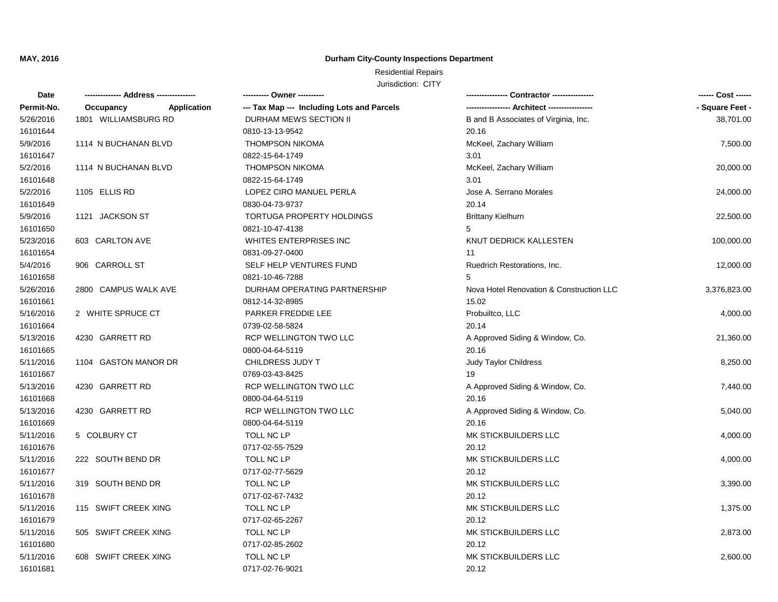# **Durham City-County Inspections Department**

| Date       |                                 | ---------- Owner ----------                |                                          | ------ Cost ------ |
|------------|---------------------------------|--------------------------------------------|------------------------------------------|--------------------|
| Permit-No. | <b>Application</b><br>Occupancy | --- Tax Map --- Including Lots and Parcels |                                          | - Square Feet -    |
| 5/26/2016  | 1801 WILLIAMSBURG RD            | DURHAM MEWS SECTION II                     | B and B Associates of Virginia, Inc.     | 38,701.00          |
| 16101644   |                                 | 0810-13-13-9542                            | 20.16                                    |                    |
| 5/9/2016   | 1114 N BUCHANAN BLVD            | <b>THOMPSON NIKOMA</b>                     | McKeel, Zachary William                  | 7,500.00           |
| 16101647   |                                 | 0822-15-64-1749                            | 3.01                                     |                    |
| 5/2/2016   | 1114 N BUCHANAN BLVD            | <b>THOMPSON NIKOMA</b>                     | McKeel, Zachary William                  | 20,000.00          |
| 16101648   |                                 | 0822-15-64-1749                            | 3.01                                     |                    |
| 5/2/2016   | 1105 ELLIS RD                   | LOPEZ CIRO MANUEL PERLA                    | Jose A. Serrano Morales                  | 24,000.00          |
| 16101649   |                                 | 0830-04-73-9737                            | 20.14                                    |                    |
| 5/9/2016   | 1121 JACKSON ST                 | TORTUGA PROPERTY HOLDINGS                  | <b>Brittany Kielhurn</b>                 | 22,500.00          |
| 16101650   |                                 | 0821-10-47-4138                            | 5                                        |                    |
| 5/23/2016  | 603 CARLTON AVE                 | WHITES ENTERPRISES INC                     | KNUT DEDRICK KALLESTEN                   | 100,000.00         |
| 16101654   |                                 | 0831-09-27-0400                            | 11                                       |                    |
| 5/4/2016   | 906 CARROLL ST                  | SELF HELP VENTURES FUND                    | Ruedrich Restorations, Inc.              | 12,000.00          |
| 16101658   |                                 | 0821-10-46-7288                            | 5                                        |                    |
| 5/26/2016  | 2800 CAMPUS WALK AVE            | DURHAM OPERATING PARTNERSHIP               | Nova Hotel Renovation & Construction LLC | 3,376,823.00       |
| 16101661   |                                 | 0812-14-32-8985                            | 15.02                                    |                    |
| 5/16/2016  | 2 WHITE SPRUCE CT               | PARKER FREDDIE LEE                         | Probuiltco, LLC                          | 4,000.00           |
| 16101664   |                                 | 0739-02-58-5824                            | 20.14                                    |                    |
| 5/13/2016  | 4230 GARRETT RD                 | RCP WELLINGTON TWO LLC                     | A Approved Siding & Window, Co.          | 21,360.00          |
| 16101665   |                                 | 0800-04-64-5119                            | 20.16                                    |                    |
| 5/11/2016  | 1104 GASTON MANOR DR            | CHILDRESS JUDY T                           | Judy Taylor Childress                    | 8,250.00           |
| 16101667   |                                 | 0769-03-43-8425                            | 19                                       |                    |
| 5/13/2016  | 4230 GARRETT RD                 | RCP WELLINGTON TWO LLC                     | A Approved Siding & Window, Co.          | 7,440.00           |
| 16101668   |                                 | 0800-04-64-5119                            | 20.16                                    |                    |
| 5/13/2016  | 4230 GARRETT RD                 | RCP WELLINGTON TWO LLC                     | A Approved Siding & Window, Co.          | 5,040.00           |
| 16101669   |                                 | 0800-04-64-5119                            | 20.16                                    |                    |
| 5/11/2016  | 5 COLBURY CT                    | TOLL NC LP                                 | MK STICKBUILDERS LLC                     | 4,000.00           |
| 16101676   |                                 | 0717-02-55-7529                            | 20.12                                    |                    |
| 5/11/2016  | 222 SOUTH BEND DR               | TOLL NC LP                                 | MK STICKBUILDERS LLC                     | 4,000.00           |
| 16101677   |                                 | 0717-02-77-5629                            | 20.12                                    |                    |
| 5/11/2016  | 319 SOUTH BEND DR               | TOLL NC LP                                 | MK STICKBUILDERS LLC                     | 3,390.00           |
| 16101678   |                                 | 0717-02-67-7432                            | 20.12                                    |                    |
| 5/11/2016  | 115 SWIFT CREEK XING            | TOLL NC LP                                 | MK STICKBUILDERS LLC                     | 1,375.00           |
| 16101679   |                                 | 0717-02-65-2267                            | 20.12                                    |                    |
| 5/11/2016  | 505 SWIFT CREEK XING            | TOLL NC LP                                 | MK STICKBUILDERS LLC                     | 2,873.00           |
| 16101680   |                                 | 0717-02-85-2602                            | 20.12                                    |                    |
| 5/11/2016  | 608 SWIFT CREEK XING            | TOLL NC LP                                 | MK STICKBUILDERS LLC                     | 2,600.00           |
| 16101681   |                                 | 0717-02-76-9021                            | 20.12                                    |                    |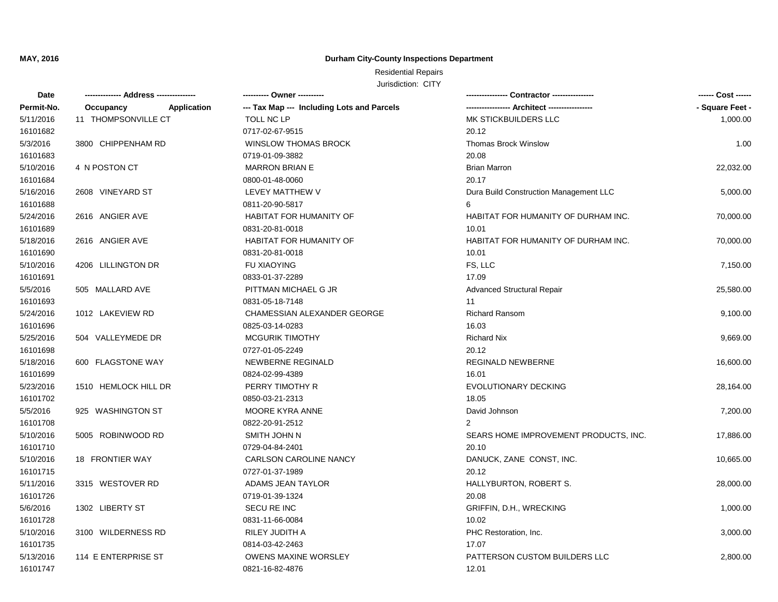### **Durham City-County Inspections Department**

| Date       |                          | ---------- Owner ----------                |                                           | ------ Cost ------ |
|------------|--------------------------|--------------------------------------------|-------------------------------------------|--------------------|
| Permit-No. | Occupancy<br>Application | --- Tax Map --- Including Lots and Parcels | ----------------- Architect ------------- | - Square Feet -    |
| 5/11/2016  | 11 THOMPSONVILLE CT      | TOLL NC LP                                 | MK STICKBUILDERS LLC                      | 1,000.00           |
| 16101682   |                          | 0717-02-67-9515                            | 20.12                                     |                    |
| 5/3/2016   | 3800 CHIPPENHAM RD       | <b>WINSLOW THOMAS BROCK</b>                | <b>Thomas Brock Winslow</b>               | 1.00               |
| 16101683   |                          | 0719-01-09-3882                            | 20.08                                     |                    |
| 5/10/2016  | 4 N POSTON CT            | <b>MARRON BRIAN E</b>                      | <b>Brian Marron</b>                       | 22,032.00          |
| 16101684   |                          | 0800-01-48-0060                            | 20.17                                     |                    |
| 5/16/2016  | 2608 VINEYARD ST         | LEVEY MATTHEW V                            | Dura Build Construction Management LLC    | 5,000.00           |
| 16101688   |                          | 0811-20-90-5817                            | 6                                         |                    |
| 5/24/2016  | 2616 ANGIER AVE          | HABITAT FOR HUMANITY OF                    | HABITAT FOR HUMANITY OF DURHAM INC.       | 70,000.00          |
| 16101689   |                          | 0831-20-81-0018                            | 10.01                                     |                    |
| 5/18/2016  | 2616 ANGIER AVE          | HABITAT FOR HUMANITY OF                    | HABITAT FOR HUMANITY OF DURHAM INC.       | 70,000.00          |
| 16101690   |                          | 0831-20-81-0018                            | 10.01                                     |                    |
| 5/10/2016  | 4206 LILLINGTON DR       | <b>FU XIAOYING</b>                         | FS, LLC                                   | 7,150.00           |
| 16101691   |                          | 0833-01-37-2289                            | 17.09                                     |                    |
| 5/5/2016   | 505 MALLARD AVE          | PITTMAN MICHAEL G JR                       | <b>Advanced Structural Repair</b>         | 25,580.00          |
| 16101693   |                          | 0831-05-18-7148                            | 11                                        |                    |
| 5/24/2016  | 1012 LAKEVIEW RD         | CHAMESSIAN ALEXANDER GEORGE                | <b>Richard Ransom</b>                     | 9,100.00           |
| 16101696   |                          | 0825-03-14-0283                            | 16.03                                     |                    |
| 5/25/2016  | 504 VALLEYMEDE DR        | <b>MCGURIK TIMOTHY</b>                     | <b>Richard Nix</b>                        | 9,669.00           |
| 16101698   |                          | 0727-01-05-2249                            | 20.12                                     |                    |
| 5/18/2016  | 600 FLAGSTONE WAY        | NEWBERNE REGINALD                          | <b>REGINALD NEWBERNE</b>                  | 16,600.00          |
| 16101699   |                          | 0824-02-99-4389                            | 16.01                                     |                    |
| 5/23/2016  | 1510 HEMLOCK HILL DR     | PERRY TIMOTHY R                            | EVOLUTIONARY DECKING                      | 28,164.00          |
| 16101702   |                          | 0850-03-21-2313                            | 18.05                                     |                    |
| 5/5/2016   | 925 WASHINGTON ST        | MOORE KYRA ANNE                            | David Johnson                             | 7,200.00           |
| 16101708   |                          | 0822-20-91-2512                            | $\overline{2}$                            |                    |
| 5/10/2016  | 5005 ROBINWOOD RD        | SMITH JOHN N                               | SEARS HOME IMPROVEMENT PRODUCTS, INC.     | 17,886.00          |
| 16101710   |                          | 0729-04-84-2401                            | 20.10                                     |                    |
| 5/10/2016  | 18 FRONTIER WAY          | <b>CARLSON CAROLINE NANCY</b>              | DANUCK, ZANE CONST, INC.                  | 10,665.00          |
| 16101715   |                          | 0727-01-37-1989                            | 20.12                                     |                    |
| 5/11/2016  | 3315 WESTOVER RD         | ADAMS JEAN TAYLOR                          | HALLYBURTON, ROBERT S.                    | 28,000.00          |
| 16101726   |                          | 0719-01-39-1324                            | 20.08                                     |                    |
| 5/6/2016   | 1302 LIBERTY ST          | SECU RE INC                                | GRIFFIN, D.H., WRECKING                   | 1,000.00           |
| 16101728   |                          | 0831-11-66-0084                            | 10.02                                     |                    |
| 5/10/2016  | 3100 WILDERNESS RD       | RILEY JUDITH A                             | PHC Restoration, Inc.                     | 3,000.00           |
| 16101735   |                          | 0814-03-42-2463                            | 17.07                                     |                    |
| 5/13/2016  | 114 E ENTERPRISE ST      | <b>OWENS MAXINE WORSLEY</b>                | PATTERSON CUSTOM BUILDERS LLC             | 2,800.00           |
| 16101747   |                          | 0821-16-82-4876                            | 12.01                                     |                    |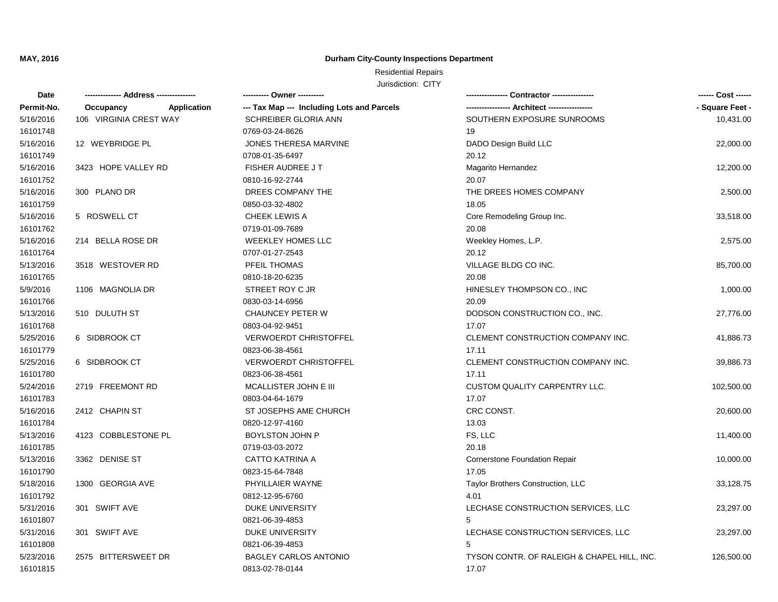### **Durham City-County Inspections Department**

| Date       |                          | ---------- Owner ----------                |                                             | ------ Cost ------ |
|------------|--------------------------|--------------------------------------------|---------------------------------------------|--------------------|
| Permit-No. | Application<br>Occupancy | --- Tax Map --- Including Lots and Parcels |                                             | - Square Feet -    |
| 5/16/2016  | 106 VIRGINIA CREST WAY   | SCHREIBER GLORIA ANN                       | SOUTHERN EXPOSURE SUNROOMS                  | 10,431.00          |
| 16101748   |                          | 0769-03-24-8626                            | 19                                          |                    |
| 5/16/2016  | 12 WEYBRIDGE PL          | JONES THERESA MARVINE                      | DADO Design Build LLC                       | 22,000.00          |
| 16101749   |                          | 0708-01-35-6497                            | 20.12                                       |                    |
| 5/16/2016  | 3423 HOPE VALLEY RD      | <b>FISHER AUDREE JT</b>                    | Magarito Hernandez                          | 12,200.00          |
| 16101752   |                          | 0810-16-92-2744                            | 20.07                                       |                    |
| 5/16/2016  | 300 PLANO DR             | DREES COMPANY THE                          | THE DREES HOMES COMPANY                     | 2,500.00           |
| 16101759   |                          | 0850-03-32-4802                            | 18.05                                       |                    |
| 5/16/2016  | 5 ROSWELL CT             | CHEEK LEWIS A                              | Core Remodeling Group Inc.                  | 33,518.00          |
| 16101762   |                          | 0719-01-09-7689                            | 20.08                                       |                    |
| 5/16/2016  | 214 BELLA ROSE DR        | WEEKLEY HOMES LLC                          | Weekley Homes, L.P.                         | 2,575.00           |
| 16101764   |                          | 0707-01-27-2543                            | 20.12                                       |                    |
| 5/13/2016  | 3518 WESTOVER RD         | PFEIL THOMAS                               | VILLAGE BLDG CO INC.                        | 85,700.00          |
| 16101765   |                          | 0810-18-20-6235                            | 20.08                                       |                    |
| 5/9/2016   | 1106 MAGNOLIA DR         | STREET ROY C JR                            | HINESLEY THOMPSON CO., INC                  | 1,000.00           |
| 16101766   |                          | 0830-03-14-6956                            | 20.09                                       |                    |
| 5/13/2016  | 510 DULUTH ST            | <b>CHAUNCEY PETER W</b>                    | DODSON CONSTRUCTION CO., INC.               | 27,776.00          |
| 16101768   |                          | 0803-04-92-9451                            | 17.07                                       |                    |
| 5/25/2016  | 6 SIDBROOK CT            | <b>VERWOERDT CHRISTOFFEL</b>               | CLEMENT CONSTRUCTION COMPANY INC.           | 41,886.73          |
| 16101779   |                          | 0823-06-38-4561                            | 17.11                                       |                    |
| 5/25/2016  | 6 SIDBROOK CT            | <b>VERWOERDT CHRISTOFFEL</b>               | CLEMENT CONSTRUCTION COMPANY INC.           | 39,886.73          |
| 16101780   |                          | 0823-06-38-4561                            | 17.11                                       |                    |
| 5/24/2016  | 2719 FREEMONT RD         | MCALLISTER JOHN E III                      | CUSTOM QUALITY CARPENTRY LLC.               | 102,500.00         |
| 16101783   |                          | 0803-04-64-1679                            | 17.07                                       |                    |
| 5/16/2016  | 2412 CHAPIN ST           | ST JOSEPHS AME CHURCH                      | CRC CONST.                                  | 20,600.00          |
| 16101784   |                          | 0820-12-97-4160                            | 13.03                                       |                    |
| 5/13/2016  | 4123 COBBLESTONE PL      | <b>BOYLSTON JOHN P</b>                     | FS, LLC                                     | 11,400.00          |
| 16101785   |                          | 0719-03-03-2072                            | 20.18                                       |                    |
| 5/13/2016  | 3362 DENISE ST           | <b>CATTO KATRINA A</b>                     | Cornerstone Foundation Repair               | 10,000.00          |
| 16101790   |                          | 0823-15-64-7848                            | 17.05                                       |                    |
| 5/18/2016  | 1300 GEORGIA AVE         | PHYILLAIER WAYNE                           | Taylor Brothers Construction, LLC           | 33,128.75          |
| 16101792   |                          | 0812-12-95-6760                            | 4.01                                        |                    |
| 5/31/2016  | 301 SWIFT AVE            | DUKE UNIVERSITY                            | LECHASE CONSTRUCTION SERVICES, LLC          | 23,297.00          |
| 16101807   |                          | 0821-06-39-4853                            | 5                                           |                    |
| 5/31/2016  | 301 SWIFT AVE            | DUKE UNIVERSITY                            | LECHASE CONSTRUCTION SERVICES, LLC          | 23,297.00          |
| 16101808   |                          | 0821-06-39-4853                            | 5                                           |                    |
| 5/23/2016  | 2575 BITTERSWEET DR      | <b>BAGLEY CARLOS ANTONIO</b>               | TYSON CONTR. OF RALEIGH & CHAPEL HILL, INC. | 126,500.00         |
| 16101815   |                          | 0813-02-78-0144                            | 17.07                                       |                    |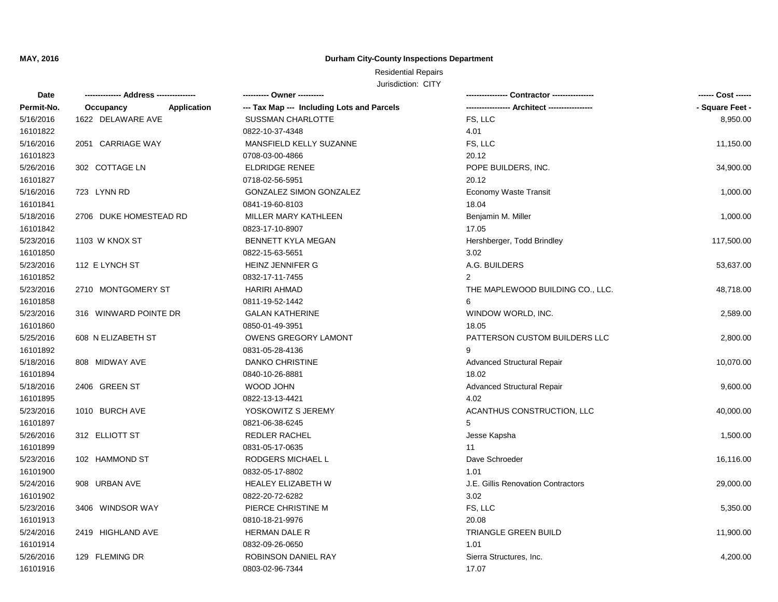### **Durham City-County Inspections Department**

| Date       |                                 | ---------- Owner ----------                |                                    | ------ Cost ------ |
|------------|---------------------------------|--------------------------------------------|------------------------------------|--------------------|
| Permit-No. | <b>Application</b><br>Occupancy | --- Tax Map --- Including Lots and Parcels |                                    | - Square Feet -    |
| 5/16/2016  | 1622 DELAWARE AVE               | <b>SUSSMAN CHARLOTTE</b>                   | FS, LLC                            | 8,950.00           |
| 16101822   |                                 | 0822-10-37-4348                            | 4.01                               |                    |
| 5/16/2016  | 2051 CARRIAGE WAY               | MANSFIELD KELLY SUZANNE                    | FS, LLC                            | 11,150.00          |
| 16101823   |                                 | 0708-03-00-4866                            | 20.12                              |                    |
| 5/26/2016  | 302 COTTAGE LN                  | <b>ELDRIDGE RENEE</b>                      | POPE BUILDERS, INC.                | 34,900.00          |
| 16101827   |                                 | 0718-02-56-5951                            | 20.12                              |                    |
| 5/16/2016  | 723 LYNN RD                     | <b>GONZALEZ SIMON GONZALEZ</b>             | Economy Waste Transit              | 1,000.00           |
| 16101841   |                                 | 0841-19-60-8103                            | 18.04                              |                    |
| 5/18/2016  | 2706 DUKE HOMESTEAD RD          | MILLER MARY KATHLEEN                       | Benjamin M. Miller                 | 1,000.00           |
| 16101842   |                                 | 0823-17-10-8907                            | 17.05                              |                    |
| 5/23/2016  | 1103 W KNOX ST                  | <b>BENNETT KYLA MEGAN</b>                  | Hershberger, Todd Brindley         | 117,500.00         |
| 16101850   |                                 | 0822-15-63-5651                            | 3.02                               |                    |
| 5/23/2016  | 112 E LYNCH ST                  | HEINZ JENNIFER G                           | A.G. BUILDERS                      | 53,637.00          |
| 16101852   |                                 | 0832-17-11-7455                            | $\overline{2}$                     |                    |
| 5/23/2016  | 2710 MONTGOMERY ST              | HARIRI AHMAD                               | THE MAPLEWOOD BUILDING CO., LLC.   | 48,718.00          |
| 16101858   |                                 | 0811-19-52-1442                            | 6                                  |                    |
| 5/23/2016  | 316 WINWARD POINTE DR           | <b>GALAN KATHERINE</b>                     | WINDOW WORLD, INC.                 | 2,589.00           |
| 16101860   |                                 | 0850-01-49-3951                            | 18.05                              |                    |
| 5/25/2016  | 608 N ELIZABETH ST              | <b>OWENS GREGORY LAMONT</b>                | PATTERSON CUSTOM BUILDERS LLC      | 2,800.00           |
| 16101892   |                                 | 0831-05-28-4136                            | 9                                  |                    |
| 5/18/2016  | 808 MIDWAY AVE                  | <b>DANKO CHRISTINE</b>                     | <b>Advanced Structural Repair</b>  | 10,070.00          |
| 16101894   |                                 | 0840-10-26-8881                            | 18.02                              |                    |
| 5/18/2016  | 2406 GREEN ST                   | WOOD JOHN                                  | <b>Advanced Structural Repair</b>  | 9,600.00           |
| 16101895   |                                 | 0822-13-13-4421                            | 4.02                               |                    |
| 5/23/2016  | 1010 BURCH AVE                  | YOSKOWITZ S JEREMY                         | ACANTHUS CONSTRUCTION, LLC         | 40,000.00          |
| 16101897   |                                 | 0821-06-38-6245                            | 5                                  |                    |
| 5/26/2016  | 312 ELLIOTT ST                  | <b>REDLER RACHEL</b>                       | Jesse Kapsha                       | 1,500.00           |
| 16101899   |                                 | 0831-05-17-0635                            | 11                                 |                    |
| 5/23/2016  | 102 HAMMOND ST                  | RODGERS MICHAEL L                          | Dave Schroeder                     | 16,116.00          |
| 16101900   |                                 | 0832-05-17-8802                            | 1.01                               |                    |
| 5/24/2016  | 908 URBAN AVE                   | <b>HEALEY ELIZABETH W</b>                  | J.E. Gillis Renovation Contractors | 29,000.00          |
| 16101902   |                                 | 0822-20-72-6282                            | 3.02                               |                    |
| 5/23/2016  | 3406 WINDSOR WAY                | PIERCE CHRISTINE M                         | FS, LLC                            | 5,350.00           |
| 16101913   |                                 | 0810-18-21-9976                            | 20.08                              |                    |
| 5/24/2016  | 2419 HIGHLAND AVE               | <b>HERMAN DALE R</b>                       | TRIANGLE GREEN BUILD               | 11,900.00          |
| 16101914   |                                 | 0832-09-26-0650                            | 1.01                               |                    |
| 5/26/2016  | 129 FLEMING DR                  | ROBINSON DANIEL RAY                        | Sierra Structures, Inc.            | 4,200.00           |
| 16101916   |                                 | 0803-02-96-7344                            | 17.07                              |                    |